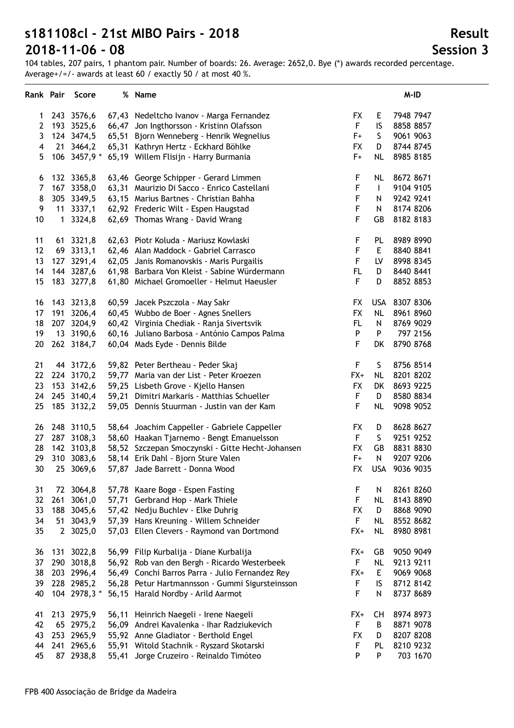104 tables, 207 pairs, 1 phantom pair. Number of boards: 26. Average: 2652,0. Bye (\*) awards recorded percentage. Average+/=/- awards at least 60 / exactly 50 / at most 40 %.

|                |     | Rank Pair Score |       | % Name                                           |                  |              | M-ID          |
|----------------|-----|-----------------|-------|--------------------------------------------------|------------------|--------------|---------------|
| 1              |     | 243 3576,6      |       | 67,43 Nedeltcho Ivanov - Marga Fernandez         | <b>FX</b>        | E.           | 7948 7947     |
| $\overline{2}$ |     | 193 3525,6      |       | 66,47 Jon Ingthorsson - Kristinn Olafsson        | F                | IS           | 8858 8857     |
| 3              |     | 124 3474,5      |       | 65,51 Bjorn Wenneberg - Henrik Wegnelius         | $F+$             | S            | 9061 9063     |
| 4              |     | 21 3464,2       |       | 65,31 Kathryn Hertz - Eckhard Böhlke             | <b>FX</b>        | D            | 8744 8745     |
| 5              |     | 106 3457,9 *    |       | 65,19 Willem Flisijn - Harry Burmania            | $F+$             | <b>NL</b>    | 8985 8185     |
| 6              |     | 132 3365,8      |       | 63,46 George Schipper - Gerard Limmen            | F                | <b>NL</b>    | 8672 8671     |
| $\overline{7}$ |     | 167 3358,0      |       | 63,31 Maurizio Di Sacco - Enrico Castellani      | $\mathsf F$      | $\mathsf{I}$ | 9104 9105     |
| 8              |     | 305 3349,5      |       | 63,15 Marius Bartnes - Christian Bahha           | $\mathsf F$      | N            | 9242 9241     |
| 9              |     | 11 3337,1       |       | 62,92 Frederic Wilt - Espen Haugstad             | $\mathsf F$      | ${\sf N}$    | 8174 8206     |
| 10             |     | 1 3324,8        |       | 62,69 Thomas Wrang - David Wrang                 | F                | GB           | 8182 8183     |
| 11             |     | 61 3321,8       |       | 62,63 Piotr Koluda - Mariusz Kowlaski            | F                | PL           | 8989 8990     |
| 12             |     | 69 3313,1       |       | 62,46 Alan Maddock - Gabriel Carrasco            | $\mathsf F$      | E            | 8840 8841     |
| 13             |     | 127 3291,4      |       | 62,05 Janis Romanovskis - Maris Purgailis        | $\mathsf F$      | LV           | 8998 8345     |
| 14             |     | 144 3287,6      |       | 61,98 Barbara Von Kleist - Sabine Würdermann     | FL.              | D            | 8440 8441     |
| 15             |     | 183 3277,8      |       | 61,80 Michael Gromoeller - Helmut Haeusler       | $\mathsf F$      | D            | 8852 8853     |
| 16             |     | 143 3213,8      |       | 60,59 Jacek Pszczola - May Sakr                  | <b>FX</b>        |              | USA 8307 8306 |
| 17             |     | 191 3206,4      |       | 60,45 Wubbo de Boer - Agnes Snellers             | <b>FX</b>        | <b>NL</b>    | 8961 8960     |
| 18             |     | 207 3204,9      |       | 60,42 Virginia Chediak - Ranja Sivertsvik        | <b>FL</b>        | ${\sf N}$    | 8769 9029     |
| 19             |     | 13 3190,6       |       | 60,16 Juliano Barbosa - António Campos Palma     | P                | P            | 797 2156      |
| 20             |     | 262 3184,7      |       | 60,04 Mads Eyde - Dennis Bilde                   | $\mathsf F$      | DK           | 8790 8768     |
| 21             |     | 44 3172,6       |       | 59,82 Peter Bertheau - Peder Skaj                | $\mathsf F$      | S            | 8756 8514     |
| 22             |     | 224 3170,2      |       | 59,77 Maria van der List - Peter Kroezen         | $FX+$            | <b>NL</b>    | 8201 8202     |
| 23             |     | 153 3142,6      |       | 59,25 Lisbeth Grove - Kjello Hansen              | <b>FX</b>        | DK           | 8693 9225     |
| 24             |     | 245 3140,4      |       | 59,21 Dimitri Markaris - Matthias Schueller      | $\mathsf F$      | D            | 8580 8834     |
| 25             |     | 185 3132,2      |       | 59,05 Dennis Stuurman - Justin van der Kam       | $\mathsf F$      | <b>NL</b>    | 9098 9052     |
| 26             |     | 248 3110,5      |       | 58,64 Joachim Cappeller - Gabriele Cappeller     | <b>FX</b>        | D            | 8628 8627     |
| 27             |     | 287 3108,3      |       | 58,60 Haakan Tjarnemo - Bengt Emanuelsson        | F                | S            | 9251 9252     |
| 28             |     | 142 3103,8      |       | 58,52 Szczepan Smoczynski - Gitte Hecht-Johansen | <b>FX</b>        | GB           | 8831 8830     |
| 29             |     | 310 3083,6      |       | 58,14 Erik Dahl - Bjorn Sture Valen              | $F+$             | N            | 9207 9206     |
| 30             |     | 25 3069,6       |       | 57,87 Jade Barrett - Donna Wood                  | <b>FX</b>        | <b>USA</b>   | 9036 9035     |
| 31             |     | 72 3064,8       |       | 57,78 Kaare Bogø - Espen Fasting                 | F                | N            | 8261 8260     |
| 32             | 261 | 3061,0          | 57,71 | Gerbrand Hop - Mark Thiele                       | F                | <b>NL</b>    | 8143 8890     |
| 33             | 188 | 3045,6          | 57,42 | Nedju Buchlev - Elke Duhrig                      | <b>FX</b>        | D            | 8868 9090     |
| 34             | 51  | 3043,9          |       | 57,39 Hans Kreuning - Willem Schneider           | F                | <b>NL</b>    | 8552 8682     |
| 35             |     | 2 3025,0        |       | 57,03 Ellen Clevers - Raymond van Dortmond       | $FX+$            | <b>NL</b>    | 8980 8981     |
| 36             | 131 | 3022,8          |       | 56,99 Filip Kurbalija - Diane Kurbalija          | $FX+$            | GB           | 9050 9049     |
| 37             | 290 | 3018,8          | 56,92 | Rob van den Bergh - Ricardo Westerbeek           | F                | <b>NL</b>    | 9213 9211     |
| 38             | 203 | 2996,4          | 56,49 | Conchi Barros Parra - Julio Fernandez Rey        | $FX+$            | E            | 9069 9068     |
| 39             |     | 228 2985,2      |       | 56,28 Petur Hartmannsson - Gummi Sigursteinsson  | $\mathsf F$      | IS           | 8712 8142     |
| 40             |     | 104 2978,3 *    |       | 56,15 Harald Nordby - Arild Aarmot               | F                | N            | 8737 8689     |
| 41             |     | 213 2975,9      | 56,11 | Heinrich Naegeli - Irene Naegeli                 | FX+              | CH           | 8974 8973     |
| 42             | 65  | 2975,2          | 56,09 | Andrei Kavalenka - Ihar Radziukevich             | F                | B            | 8871 9078     |
| 43             | 253 | 2965,9          | 55,92 | Anne Gladiator - Berthold Engel                  | <b>FX</b>        | D            | 8207 8208     |
| 44             | 241 | 2965,6          | 55,91 | Witold Stachnik - Ryszard Skotarski              | $\mathsf F$<br>P | PL           | 8210 9232     |
| 45             |     | 87 2938,8       | 55,41 | Jorge Cruzeiro - Reinaldo Timóteo                |                  | P            | 703 1670      |

#### **Result Session 3**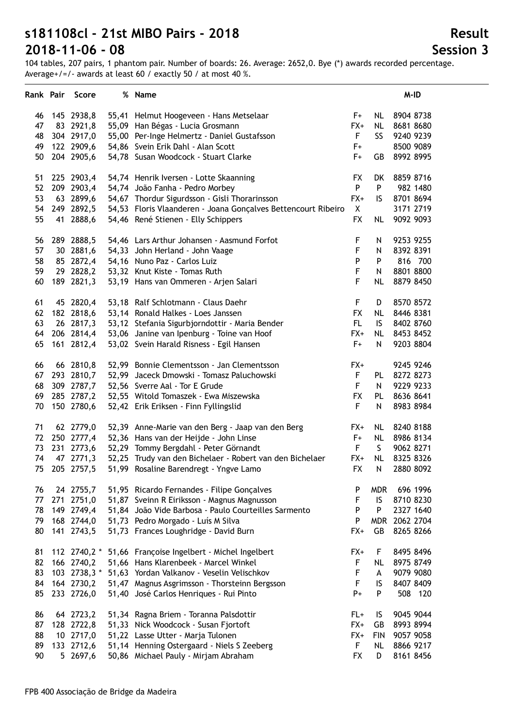104 tables, 207 pairs, 1 phantom pair. Number of boards: 26. Average: 2652,0. Bye (\*) awards recorded percentage. Average+/=/- awards at least 60 / exactly 50 / at most 40 %.

| Rank Pair |     | Score        | % Name                                                                         |             |            | M-ID      |
|-----------|-----|--------------|--------------------------------------------------------------------------------|-------------|------------|-----------|
| 46        |     | 145 2938,8   | 55,41 Helmut Hoogeveen - Hans Metselaar                                        | F+          | NL.        | 8904 8738 |
| 47        |     | 83 2921,8    | 55,09 Han Bégas - Lucia Grosmann                                               | $FX+$       | <b>NL</b>  | 8681 8680 |
| 48        |     | 304 2917,0   | 55,00 Per-Inge Helmertz - Daniel Gustafsson                                    | F           | <b>SS</b>  | 9240 9239 |
| 49        |     | 122 2909,6   | 54,86 Svein Erik Dahl - Alan Scott                                             | F+          |            | 8500 9089 |
| 50        |     | 204 2905,6   | 54,78 Susan Woodcock - Stuart Clarke                                           | F+          | GB         | 8992 8995 |
|           |     |              |                                                                                |             |            |           |
| 51        |     | 225 2903,4   | 54,74 Henrik Iversen - Lotte Skaanning                                         | <b>FX</b>   | DK         | 8859 8716 |
| 52        |     | 209 2903,4   | 54,74 João Fanha - Pedro Morbey                                                | P           | P          | 982 1480  |
| 53        |     | 63 2899,6    | 54,67 Thordur Sigurdsson - Gisli Thorarinsson                                  | FX+         | IS.        | 8701 8694 |
| 54        |     | 249 2892,5   | 54,53 Floris Vlaanderen - Joana Gonçalves Bettencourt Ribeiro                  | X           |            | 3171 2719 |
| 55        |     | 41 2888,6    | 54,46 René Stienen - Elly Schippers                                            | <b>FX</b>   | <b>NL</b>  | 9092 9093 |
| 56        |     | 289 2888,5   | 54,46 Lars Arthur Johansen - Aasmund Forfot                                    | F           | N          | 9253 9255 |
| 57        |     | 30 2881,6    | 54,33 John Herland - John Vaage                                                | $\mathsf F$ | Ν          | 8392 8391 |
| 58        |     | 85 2872,4    | 54,16 Nuno Paz - Carlos Luiz                                                   | P           | P          | 816 700   |
| 59        |     | 29 2828,2    | 53,32 Knut Kiste - Tomas Ruth                                                  | F           | N          | 8801 8800 |
| 60        |     | 189 2821,3   | 53,19 Hans van Ommeren - Arjen Salari                                          | F           | <b>NL</b>  | 8879 8450 |
| 61        |     | 45 2820,4    | 53,18 Ralf Schlotmann - Claus Daehr                                            | $\mathsf F$ | D          | 8570 8572 |
| 62        |     | 182 2818,6   | 53,14 Ronald Halkes - Loes Janssen                                             | <b>FX</b>   | <b>NL</b>  | 8446 8381 |
| 63        |     | 26 2817,3    | 53,12 Stefania Sigurbjorndottir - Maria Bender                                 | FL.         | IS.        | 8402 8760 |
| 64        |     | 206 2814,4   | 53,06 Janine van Ipenburg - Toine van Hoof                                     | FX+         | <b>NL</b>  | 8453 8452 |
| 65        |     | 161 2812,4   | 53,02 Svein Harald Risness - Egil Hansen                                       | $F+$        | N          | 9203 8804 |
|           |     |              |                                                                                |             |            |           |
| 66        |     | 66 2810,8    | 52,99 Bonnie Clementsson - Jan Clementsson                                     | $FX+$       |            | 9245 9246 |
| 67        |     | 293 2810,7   | 52,99 Jaceck Dmowski - Tomasz Paluchowski                                      | F           | PL         | 8272 8273 |
| 68        |     | 309 2787,7   | 52,56 Sverre Aal - Tor E Grude                                                 | $\mathsf F$ | N          | 9229 9233 |
| 69        |     | 285 2787,2   | 52,55 Witold Tomaszek - Ewa Miszewska                                          | <b>FX</b>   | PL         | 8636 8641 |
| 70        |     | 150 2780,6   | 52,42 Erik Eriksen - Finn Fyllingslid                                          | $\mathsf F$ | N          | 8983 8984 |
| 71        |     | 62 2779,0    | 52,39 Anne-Marie van den Berg - Jaap van den Berg                              | FX+         | NL.        | 8240 8188 |
| 72        |     | 250 2777,4   | 52,36 Hans van der Heijde - John Linse                                         | F+          | <b>NL</b>  | 8986 8134 |
| 73        |     | 231 2773,6   | 52,29 Tommy Bergdahl - Peter Görnandt                                          | F           | S          | 9062 8271 |
| 74        |     | 47 2771,3    | 52,25 Trudy van den Bichelaer - Robert van den Bichelaer                       | $FX+$       | <b>NL</b>  | 8325 8326 |
| 75        |     | 205 2757,5   | 51,99 Rosaline Barendregt - Yngve Lamo                                         | <b>FX</b>   | Ν          | 2880 8092 |
| 76        |     | 24 2755,7    | 51,95 Ricardo Fernandes - Filipe Gonçalves                                     | P           | <b>MDR</b> | 696 1996  |
| 77        | 271 | 2751,0       | 51,87 Sveinn R Eiriksson - Magnus Magnusson                                    | $\mathsf F$ | IS         | 8710 8230 |
| 78        | 149 | 2749,4       | 51,84 João Vide Barbosa - Paulo Courteilles Sarmento                           | P           | P          | 2327 1640 |
| 79        |     | 168 2744,0   | 51,73 Pedro Morgado - Luís M Silva                                             | P           | <b>MDR</b> | 2062 2704 |
| 80        |     | 141 2743,5   | 51,73 Frances Loughridge - David Burn                                          | $FX+$       | GB         | 8265 8266 |
| 81        |     | 112 2740,2 * | 51,66 Françoise Ingelbert - Michel Ingelbert                                   | FX+         | F          | 8495 8496 |
| 82        |     | 166 2740,2   | 51,66 Hans Klarenbeek - Marcel Winkel                                          | F           | <b>NL</b>  | 8975 8749 |
| 83        |     | 103 2738,3 * | 51,63 Yordan Valkanov - Veselin Velischkov                                     | $\mathsf F$ | A          | 9079 9080 |
| 84        |     | 164 2730,2   | 51,47 Magnus Asgrimsson - Thorsteinn Bergsson                                  | $\mathsf F$ | IS         | 8407 8409 |
| 85        |     | 233 2726,0   | 51,40 José Carlos Henriques - Rui Pinto                                        | $P+$        | P          | 508 120   |
| 86        |     | 64 2723,2    |                                                                                | $FL+$       | IS         | 9045 9044 |
| 87        |     | 128 2722,8   | 51,34 Ragna Briem - Toranna Palsdottir<br>51,33 Nick Woodcock - Susan Fjortoft | $FX+$       | GB         | 8993 8994 |
| 88        |     | 10 2717,0    | 51,22 Lasse Utter - Marja Tulonen                                              | $FX+$       | <b>FIN</b> | 9057 9058 |
| 89        |     | 133 2712,6   | 51,14 Henning Ostergaard - Niels S Zeeberg                                     | F           | <b>NL</b>  | 8866 9217 |
| 90        |     | 5 2697,6     | 50,86 Michael Pauly - Mirjam Abraham                                           | <b>FX</b>   | D          | 8161 8456 |
|           |     |              |                                                                                |             |            |           |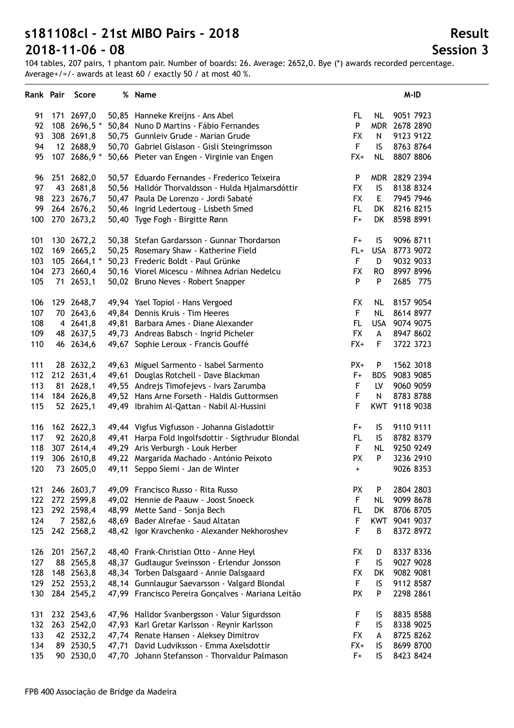104 tables, 207 pairs, 1 phantom pair. Number of boards: 26. Average: 2652,0. Bye (\*) awards recorded percentage. Average+/=/- awards at least 60 / exactly 50 / at most 40 %.

| Rank Pair |     | Score        | % Name                                              |           |              | M-ID          |
|-----------|-----|--------------|-----------------------------------------------------|-----------|--------------|---------------|
| 91        |     | 171 2697,0   | 50,85 Hanneke Kreijns - Ans Abel                    | FL        | NL           | 9051 7923     |
| 92        |     | 108 2696,5 * | 50,84 Nuno D Martins - Fábio Fernandes              | P         | <b>MDR</b>   | 2678 2890     |
| 93        |     | 308 2691,8   | 50,75 Gunnleiv Grude - Marian Grude                 | <b>FX</b> | N            | 9123 9122     |
| 94        |     | 12 2688,9    | 50,70 Gabriel Gislason - Gisli Steingrimsson        | F.        | IS           | 8763 8764     |
| 95        |     | 107 2686,9 * | 50,66 Pieter van Engen - Virginie van Engen         | $FX+$     | <b>NL</b>    | 8807 8806     |
| 96        |     | 251 2682,0   | 50,57 Eduardo Fernandes - Frederico Teixeira        | P         |              | MDR 2829 2394 |
| 97        |     | 43 2681,8    | 50,56 Halldór Thorvaldsson - Hulda Hjalmarsdóttir   | <b>FX</b> | IS           | 8138 8324     |
| 98        |     | 223 2676,7   | 50,47 Paula De Lorenzo - Jordi Sabaté               | <b>FX</b> | E            | 7945 7946     |
| 99        |     | 264 2676,2   | 50,46 Ingrid Ledertoug - Lisbeth Smed               | FL.       | DK           | 8216 8215     |
| 100       |     | 270 2673,2   | 50,40 Tyge Fogh - Birgitte Rønn                     | $F+$      | DK           | 8598 8991     |
| 101       |     | 130 2672,2   | 50,38 Stefan Gardarsson - Gunnar Thordarson         | F+        | IS.          | 9096 8711     |
| 102       |     | 169 2665,2   | 50,25 Rosemary Shaw - Katherine Field               | FL+       | <b>USA</b>   | 8773 9072     |
| 103       |     | 105 2664,1 * | 50,23 Frederic Boldt - Paul Grünke                  | F         | D            | 9032 9033     |
| 104       |     | 273 2660,4   | 50,16 Viorel Micescu - Mihnea Adrian Nedelcu        | <b>FX</b> | <b>RO</b>    | 8997 8996     |
| 105       |     | 71 2653,1    | 50,02 Bruno Neves - Robert Snapper                  | P         | P            | 2685 775      |
| 106       |     | 129 2648,7   | 49,94 Yael Topiol - Hans Vergoed                    | <b>FX</b> | <b>NL</b>    | 8157 9054     |
| 107       |     | 70 2643,6    | 49,84 Dennis Kruis - Tim Heeres                     | F.        | <b>NL</b>    | 8614 8977     |
| 108       |     | 4 2641,8     | 49,81 Barbara Ames - Diane Alexander                | FL.       |              | USA 9074 9075 |
| 109       |     | 48 2637,5    | 49,73 Andreas Babsch - Ingrid Picheler              | <b>FX</b> | A            | 8947 8602     |
| 110       |     | 46 2634,6    | 49,67 Sophie Leroux - Francis Gouffé                | $FX+$     | F            | 3722 3723     |
| 111       |     | 28 2632,2    | 49,63 Miguel Sarmento - Isabel Sarmento             | PX+       | P            | 1562 3018     |
| 112       |     | 212 2631,4   | 49,61 Douglas Rotchell - Dave Blackman              | F+        | <b>BDS</b>   | 9083 9085     |
| 113       |     | 81 2628,1    | 49,55 Andrejs Timofejevs - Ivars Zarumba            | F         | LV           | 9060 9059     |
| 114       |     | 184 2626,8   | 49,52 Hans Arne Forseth - Haldis Guttormsen         | F         | $\mathsf{N}$ | 8783 8788     |
| 115       |     | 52 2625,1    | 49,49 Ibrahim Al-Qattan - Nabil Al-Hussini          | F         |              | KWT 9118 9038 |
| 116       |     | 162 2622,3   | 49,44 Vigfus Vigfusson - Johanna Gisladottir        | F+        | IS           | 9110 9111     |
| 117       |     | 92 2620,8    | 49,41 Harpa Fold Ingolfsdottir - Sigthrudur Blondal | FL.       | IS           | 8782 8379     |
| 118       |     | 307 2614,4   | 49,29 Aris Verburgh - Louk Herber                   | F         | <b>NL</b>    | 9250 9249     |
| 119       |     | 306 2610,8   | 49,22 Margarida Machado - António Peixoto           | PX        | P            | 3236 2910     |
| 120       | 73  | 2605,0       | 49,11 Seppo Siemi - Jan de Winter                   | $+$       |              | 9026 8353     |
| 121       |     | 246 2603,7   | 49,09 Francisco Russo - Rita Russo                  | <b>PX</b> | P            | 2804 2803     |
| 122       |     | 272 2599,8   | 49,02 Hennie de Paauw - Joost Snoeck                | F         | <b>NL</b>    | 9099 8678     |
| 123       |     | 292 2598,4   | 48,99 Mette Sand - Sonja Bech                       | FL.       | DK           | 8706 8705     |
| 124       |     | 7 2582,6     | 48,69 Bader Alrefae - Saud Altatan                  | F         |              | KWT 9041 9037 |
| 125       |     | 242 2568,2   | 48,42 Igor Kravchenko - Alexander Nekhoroshev       | F         | B            | 8372 8972     |
| 126       |     | 201 2567,2   | 48,40 Frank-Christian Otto - Anne Heyl              | <b>FX</b> | D            | 8337 8336     |
| 127       | 88  | 2565,8       | 48,37 Gudlaugur Sveinsson - Erlendur Jonsson        | F         | IS           | 9027 9028     |
| 128       | 148 | 2563,8       | 48,34 Torben Dalsgaard - Annie Dalsgaard            | <b>FX</b> | DK           | 9082 9081     |
| 129       |     | 252 2553,2   | 48,14 Gunnlaugur Saevarsson - Valgard Blondal       | F         | IS.          | 9112 8587     |
| 130       |     | 284 2545,2   | 47,99 Francisco Pereira Gonçalves - Mariana Leitão  | PX        | P            | 2298 2861     |
| 131       |     | 232 2543,6   | 47,96 Halldor Svanbergsson - Valur Sigurdsson       | F         | IS           | 8835 8588     |
| 132       |     | 263 2542,0   | 47,93 Karl Gretar Karlsson - Reynir Karlsson        | F         | IS           | 8338 9025     |
| 133       |     | 42 2532,2    | 47,74 Renate Hansen - Aleksey Dimitrov              | <b>FX</b> | A            | 8725 8262     |
| 134       |     | 89 2530,5    | 47,71 David Ludviksson - Emma Axelsdottir           | $FX+$     | IS           | 8699 8700     |
| 135       |     | 90 2530,0    | 47,70 Johann Stefansson - Thorvaldur Palmason       | $F+$      | IS           | 8423 8424     |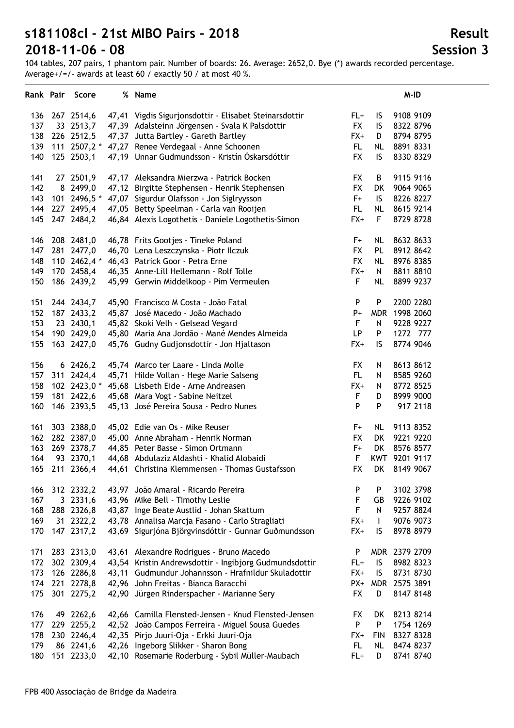104 tables, 207 pairs, 1 phantom pair. Number of boards: 26. Average: 2652,0. Bye (\*) awards recorded percentage. Average+/=/- awards at least 60 / exactly 50 / at most 40 %.

|     |     | Rank Pair Score |       | % Name                                                 |             |              | M-ID          |
|-----|-----|-----------------|-------|--------------------------------------------------------|-------------|--------------|---------------|
| 136 |     | 267 2514,6      |       | 47,41 Vigdis Sigurjonsdottir - Elisabet Steinarsdottir | FL+         | IS.          | 9108 9109     |
| 137 |     | 33 2513,7       |       | 47,39 Adalsteinn Jörgensen - Svala K Palsdottir        | <b>FX</b>   | IS           | 8322 8796     |
| 138 |     | 226 2512,5      |       | 47,37 Jutta Bartley - Gareth Bartley                   | FX+         | D            | 8794 8795     |
| 139 |     |                 |       | 111 2507,2 * 47,27 Renee Verdegaal - Anne Schoonen     | FL.         | <b>NL</b>    | 8891 8331     |
| 140 |     | 125 2503,1      |       | 47,19 Unnar Gudmundsson - Kristín Óskarsdóttir         | <b>FX</b>   | IS           | 8330 8329     |
| 141 |     | 27 2501,9       |       | 47,17 Aleksandra Mierzwa - Patrick Bocken              | <b>FX</b>   | B            | 9115 9116     |
| 142 |     | 8 2499,0        |       | 47,12 Birgitte Stephensen - Henrik Stephensen          | <b>FX</b>   | DK           | 9064 9065     |
| 143 |     | 101 2496,5 *    |       | 47,07 Sigurdur Olafsson - Jon Siglryysson              | $F+$        | IS.          | 8226 8227     |
| 144 |     | 227 2495,4      |       | 47,05 Betty Speelman - Carla van Rooijen               | FL.         | <b>NL</b>    | 8615 9214     |
| 145 |     | 247 2484,2      |       | 46,84 Alexis Logothetis - Daniele Logothetis-Simon     | $FX+$       | F            | 8729 8728     |
| 146 |     | 208 2481,0      |       | 46,78 Frits Gootjes - Tineke Poland                    | F+          | <b>NL</b>    | 8632 8633     |
| 147 |     | 281 2477,0      |       | 46,70 Lena Leszczynska - Piotr Ilczuk                  | <b>FX</b>   | PL           | 8912 8642     |
| 148 |     | 110 2462,4 *    |       | 46,43 Patrick Goor - Petra Erne                        | <b>FX</b>   | <b>NL</b>    | 8976 8385     |
| 149 |     | 170 2458,4      |       | 46,35 Anne-Lill Hellemann - Rolf Tolle                 | $FX+$       | N            | 8811 8810     |
| 150 |     | 186 2439,2      |       | 45,99 Gerwin Middelkoop - Pim Vermeulen                | F           | <b>NL</b>    | 8899 9237     |
| 151 |     | 244 2434,7      |       | 45,90 Francisco M Costa - João Fatal                   | P           | P            | 2200 2280     |
| 152 |     | 187 2433,2      |       | 45,87 José Macedo - João Machado                       | $P+$        | <b>MDR</b>   | 1998 2060     |
| 153 |     | 23 2430,1       |       | 45,82 Skoki Velh - Gelsead Vegard                      | $\mathsf F$ | Ν            | 9228 9227     |
| 154 |     | 190 2429,0      |       | 45,80 Maria Ana Jordão - Mané Mendes Almeida           | LP          | P            | 1272 777      |
| 155 |     | 163 2427,0      |       | 45,76 Gudny Gudjonsdottir - Jon Hjaltason              | $FX+$       | IS           | 8774 9046     |
| 156 |     | 6 2426,2        |       | 45,74 Marco ter Laare - Linda Molle                    | <b>FX</b>   | N            | 8613 8612     |
| 157 |     | 311 2424,4      |       | 45,71 Hilde Vollan - Hege Marie Salseng                | FL.         | N            | 8585 9260     |
| 158 |     | 102 2423,0 *    |       | 45,68 Lisbeth Eide - Arne Andreasen                    | $FX+$       | N            | 8772 8525     |
| 159 |     | 181 2422,6      |       | 45,68 Mara Vogt - Sabine Neitzel                       | F           | D            | 8999 9000     |
| 160 |     | 146 2393,5      |       | 45,13 José Pereira Sousa - Pedro Nunes                 | P           | P            | 917 2118      |
| 161 |     | 303 2388,0      |       | 45,02 Edie van Os - Mike Reuser                        | F+          | <b>NL</b>    | 9113 8352     |
| 162 |     | 282 2387,0      |       | 45,00 Anne Abraham - Henrik Norman                     | <b>FX</b>   | DK           | 9221 9220     |
| 163 |     | 269 2378,7      |       | 44,85 Peter Basse - Simon Ortmann                      | F+          | DK           | 8576 8577     |
| 164 |     | 93 2370,1       |       | 44,68 Abdulaziz Aldashti - Khalid Alobaidi             | F           |              | KWT 9201 9117 |
| 165 |     | 211 2366,4      |       | 44,61 Christina Klemmensen - Thomas Gustafsson         | <b>FX</b>   | DK           | 8149 9067     |
| 166 |     | 312 2332,2      |       | 43,97 João Amaral - Ricardo Pereira                    | P           | P            | 3102 3798     |
| 167 |     | 3 2331,6        |       | 43,96 Mike Bell - Timothy Leslie                       | $\mathsf F$ | GB           | 9226 9102     |
| 168 |     | 288 2326,8      |       | 43,87 Inge Beate Austlid - Johan Skattum               | F           | N            | 9257 8824     |
| 169 |     | 31 2322,2       |       | 43,78 Annalisa Marcja Fasano - Carlo Stragliati        | $FX+$       | $\mathbf{I}$ | 9076 9073     |
| 170 |     | 147 2317,2      |       | 43,69 Sigurjóna Björgvinsdóttir - Gunnar Guðmundsson   | FX+         | IS           | 8978 8979     |
| 171 |     | 283 2313,0      | 43.61 | Alexandre Rodrigues - Bruno Macedo                     | P           |              | MDR 2379 2709 |
| 172 |     | 302 2309,4      |       | 43,54 Kristin Andrewsdottir - Ingibjorg Gudmundsdottir | $FL+$       | IS           | 8982 8323     |
| 173 |     | 126 2286,8      |       | 43,11 Gudmundur Johannsson - Hrafnildur Skuladottir    | $FX+$       | IS           | 8731 8730     |
| 174 |     | 221 2278,8      | 42,96 | John Freitas - Bianca Baracchi                         | PX+         |              | MDR 2575 3891 |
| 175 |     | 301 2275,2      | 42,90 | Jürgen Rinderspacher - Marianne Sery                   | <b>FX</b>   | D            | 8147 8148     |
| 176 |     | 49 2262,6       |       | 42,66 Camilla Flensted-Jensen - Knud Flensted-Jensen   | <b>FX</b>   | DK           | 8213 8214     |
| 177 | 229 | 2255,2          |       | 42,52 João Campos Ferreira - Miguel Sousa Guedes       | P           | P            | 1754 1269     |
| 178 |     | 230 2246,4      | 42,35 | Pirjo Juuri-Oja - Erkki Juuri-Oja                      | $FX+$       | <b>FIN</b>   | 8327 8328     |
| 179 |     | 86 2241,6       | 42,26 | Ingeborg Slikker - Sharon Bong                         | <b>FL</b>   | <b>NL</b>    | 8474 8237     |
| 180 |     | 151 2233,0      |       | 42,10 Rosemarie Roderburg - Sybil Müller-Maubach       | FL+         | D            | 8741 8740     |